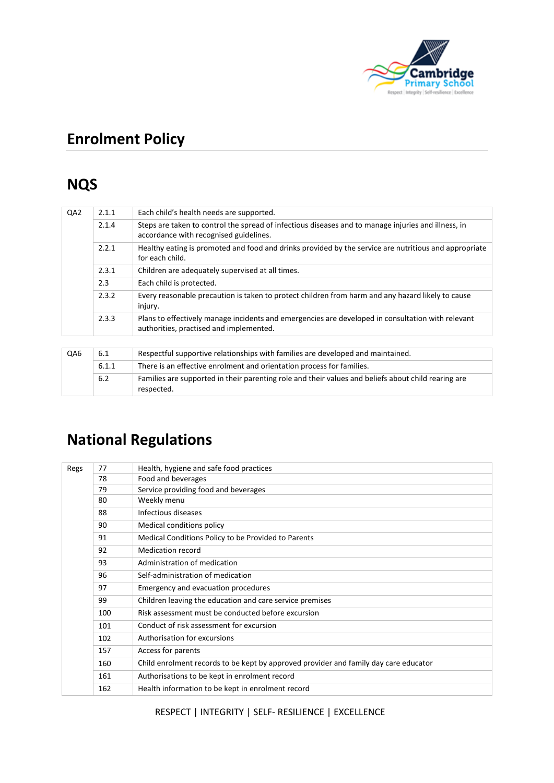

### **Enrolment Policy**

### **NQS**

| QA2 | 2.1.1 | Each child's health needs are supported.                                                                                                      |  |  |
|-----|-------|-----------------------------------------------------------------------------------------------------------------------------------------------|--|--|
|     | 2.1.4 | Steps are taken to control the spread of infectious diseases and to manage injuries and illness, in<br>accordance with recognised guidelines. |  |  |
|     | 2.2.1 | Healthy eating is promoted and food and drinks provided by the service are nutritious and appropriate<br>for each child.                      |  |  |
|     | 2.3.1 | Children are adequately supervised at all times.                                                                                              |  |  |
|     | 2.3   | Each child is protected.                                                                                                                      |  |  |
|     | 2.3.2 | Every reasonable precaution is taken to protect children from harm and any hazard likely to cause<br>injury.                                  |  |  |
|     | 2.3.3 | Plans to effectively manage incidents and emergencies are developed in consultation with relevant<br>authorities, practised and implemented.  |  |  |
|     |       |                                                                                                                                               |  |  |
| QA6 | 6.1   | Respectful supportive relationships with families are developed and maintained.                                                               |  |  |
|     | 6.1.1 | There is an effective enrolment and orientation process for families.                                                                         |  |  |

6.2 Families are supported in their parenting role and their values and beliefs about child rearing are

# **National Regulations**

respected.

| Regs | 77  | Health, hygiene and safe food practices                                              |
|------|-----|--------------------------------------------------------------------------------------|
|      | 78  | Food and beverages                                                                   |
|      | 79  | Service providing food and beverages                                                 |
|      | 80  | Weekly menu                                                                          |
|      | 88  | Infectious diseases                                                                  |
|      | 90  | Medical conditions policy                                                            |
|      | 91  | Medical Conditions Policy to be Provided to Parents                                  |
|      | 92  | Medication record                                                                    |
|      | 93  | Administration of medication                                                         |
|      | 96  | Self-administration of medication                                                    |
|      | 97  | Emergency and evacuation procedures                                                  |
|      | 99  | Children leaving the education and care service premises                             |
|      | 100 | Risk assessment must be conducted before excursion                                   |
|      | 101 | Conduct of risk assessment for excursion                                             |
|      | 102 | Authorisation for excursions                                                         |
|      | 157 | Access for parents                                                                   |
|      | 160 | Child enrolment records to be kept by approved provider and family day care educator |
|      | 161 | Authorisations to be kept in enrolment record                                        |
|      | 162 | Health information to be kept in enrolment record                                    |

RESPECT | INTEGRITY | SELF- RESILIENCE | EXCELLENCE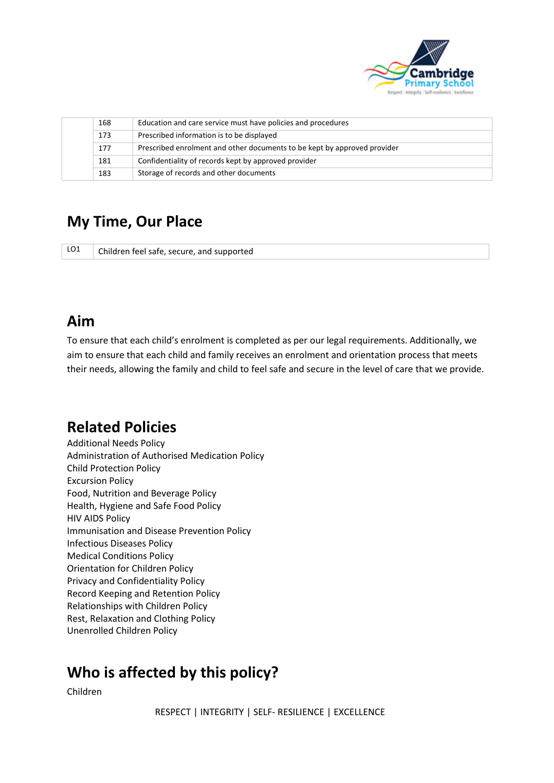

|  | 168 | Education and care service must have policies and procedures             |
|--|-----|--------------------------------------------------------------------------|
|  | 173 | Prescribed information is to be displayed                                |
|  | 177 | Prescribed enrolment and other documents to be kept by approved provider |
|  | 181 | Confidentiality of records kept by approved provider                     |
|  | 183 | Storage of records and other documents                                   |

### **My Time, Our Place**

LO1 Children feel safe, secure, and supported

### **Aim**

To ensure that each child's enrolment is completed as per our legal requirements. Additionally, we aim to ensure that each child and family receives an enrolment and orientation process that meets their needs, allowing the family and child to feel safe and secure in the level of care that we provide.

### **Related Policies**

Additional Needs Policy Administration of Authorised Medication Policy Child Protection Policy Excursion Policy Food, Nutrition and Beverage Policy Health, Hygiene and Safe Food Policy HIV AIDS Policy Immunisation and Disease Prevention Policy Infectious Diseases Policy Medical Conditions Policy Orientation for Children Policy Privacy and Confidentiality Policy Record Keeping and Retention Policy Relationships with Children Policy Rest, Relaxation and Clothing Policy Unenrolled Children Policy

## **Who is affected by this policy?**

Children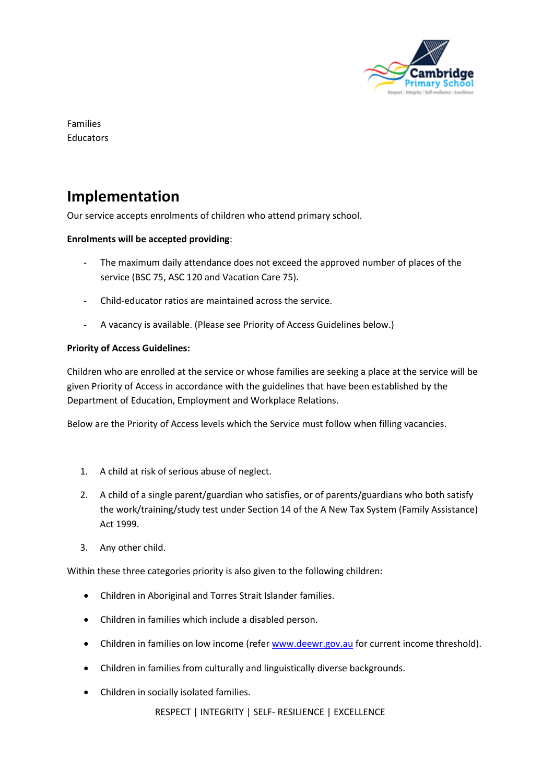

Families **Educators** 

### **Implementation**

Our service accepts enrolments of children who attend primary school.

#### **Enrolments will be accepted providing**:

- The maximum daily attendance does not exceed the approved number of places of the service (BSC 75, ASC 120 and Vacation Care 75).
- Child-educator ratios are maintained across the service.
- A vacancy is available. (Please see Priority of Access Guidelines below.)

#### **Priority of Access Guidelines:**

Children who are enrolled at the service or whose families are seeking a place at the service will be given Priority of Access in accordance with the guidelines that have been established by the Department of Education, Employment and Workplace Relations.

Below are the Priority of Access levels which the Service must follow when filling vacancies.

- 1. A child at risk of serious abuse of neglect.
- 2. A child of a single parent/guardian who satisfies, or of parents/guardians who both satisfy the work/training/study test under Section 14 of the A New Tax System (Family Assistance) Act 1999.
- 3. Any other child.

Within these three categories priority is also given to the following children:

- Children in Aboriginal and Torres Strait Islander families.
- Children in families which include a disabled person.
- Children in families on low income (refer [www.deewr.gov.au](http://www.deewr.gov.au/) for current income threshold).
- Children in families from culturally and linguistically diverse backgrounds.
- Children in socially isolated families.

RESPECT | INTEGRITY | SELF- RESILIENCE | EXCELLENCE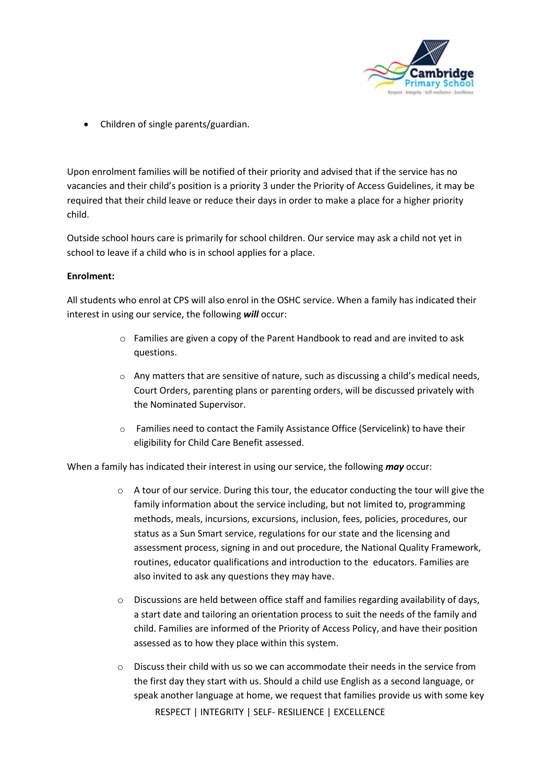

• Children of single parents/guardian.

Upon enrolment families will be notified of their priority and advised that if the service has no vacancies and their child's position is a priority 3 under the Priority of Access Guidelines, it may be required that their child leave or reduce their days in order to make a place for a higher priority child.

Outside school hours care is primarily for school children. Our service may ask a child not yet in school to leave if a child who is in school applies for a place.

#### **Enrolment:**

All students who enrol at CPS will also enrol in the OSHC service. When a family has indicated their interest in using our service, the following *will* occur:

- $\circ$  Families are given a copy of the Parent Handbook to read and are invited to ask questions.
- $\circ$  Any matters that are sensitive of nature, such as discussing a child's medical needs, Court Orders, parenting plans or parenting orders, will be discussed privately with the Nominated Supervisor.
- $\circ$  Families need to contact the Family Assistance Office (Servicelink) to have their eligibility for Child Care Benefit assessed.

When a family has indicated their interest in using our service, the following *may* occur:

- $\circ$  A tour of our service. During this tour, the educator conducting the tour will give the family information about the service including, but not limited to, programming methods, meals, incursions, excursions, inclusion, fees, policies, procedures, our status as a Sun Smart service, regulations for our state and the licensing and assessment process, signing in and out procedure, the National Quality Framework, routines, educator qualifications and introduction to the educators. Families are also invited to ask any questions they may have.
- $\circ$  Discussions are held between office staff and families regarding availability of days, a start date and tailoring an orientation process to suit the needs of the family and child. Families are informed of the Priority of Access Policy, and have their position assessed as to how they place within this system.
- RESPECT | INTEGRITY | SELF- RESILIENCE | EXCELLENCE  $\circ$  Discuss their child with us so we can accommodate their needs in the service from the first day they start with us. Should a child use English as a second language, or speak another language at home, we request that families provide us with some key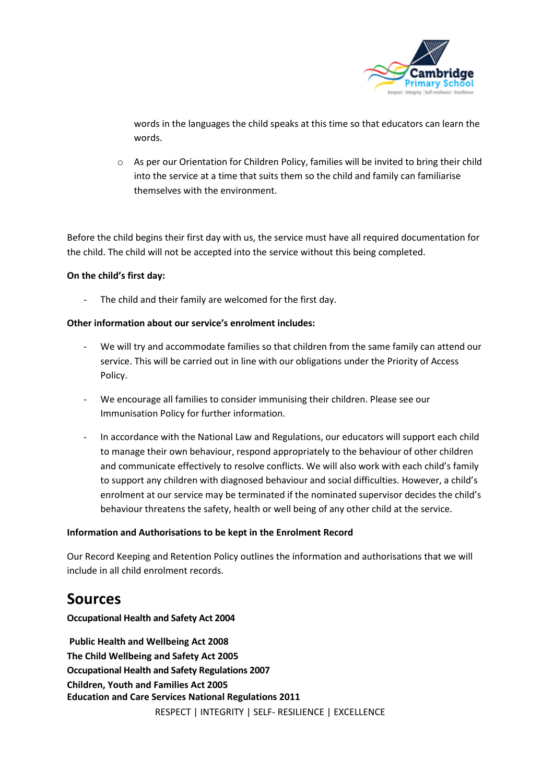

words in the languages the child speaks at this time so that educators can learn the words.

o As per our Orientation for Children Policy, families will be invited to bring their child into the service at a time that suits them so the child and family can familiarise themselves with the environment.

Before the child begins their first day with us, the service must have all required documentation for the child. The child will not be accepted into the service without this being completed.

#### **On the child's first day:**

The child and their family are welcomed for the first day.

#### **Other information about our service's enrolment includes:**

- We will try and accommodate families so that children from the same family can attend our service. This will be carried out in line with our obligations under the Priority of Access Policy.
- We encourage all families to consider immunising their children. Please see our Immunisation Policy for further information.
- In accordance with the National Law and Regulations, our educators will support each child to manage their own behaviour, respond appropriately to the behaviour of other children and communicate effectively to resolve conflicts. We will also work with each child's family to support any children with diagnosed behaviour and social difficulties. However, a child's enrolment at our service may be terminated if the nominated supervisor decides the child's behaviour threatens the safety, health or well being of any other child at the service.

#### **Information and Authorisations to be kept in the Enrolment Record**

Our Record Keeping and Retention Policy outlines the information and authorisations that we will include in all child enrolment records.

### **Sources**

#### **Occupational Health and Safety Act 2004**

RESPECT | INTEGRITY | SELF- RESILIENCE | EXCELLENCE **Public Health and Wellbeing Act 2008 The Child Wellbeing and Safety Act 2005 Occupational Health and Safety Regulations 2007 Children, Youth and Families Act 2005 Education and Care Services National Regulations 2011**